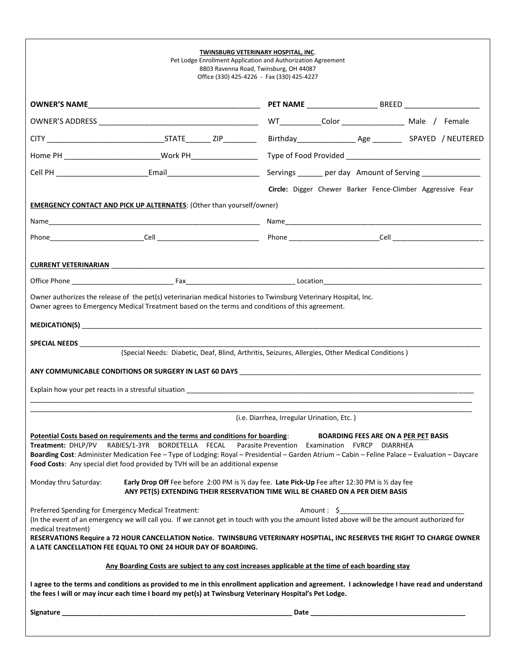|                       |                                                                                                                                                                                                                                                                                                                                                                                                                                                                                                                               | TWINSBURG VETERINARY HOSPITAL, INC.<br>Pet Lodge Enrollment Application and Authorization Agreement<br>8803 Ravenna Road, Twinsburg, OH 44087<br>Office (330) 425-4226 - Fax (330) 425-4227 |  |                                                                                                                                              |  |
|-----------------------|-------------------------------------------------------------------------------------------------------------------------------------------------------------------------------------------------------------------------------------------------------------------------------------------------------------------------------------------------------------------------------------------------------------------------------------------------------------------------------------------------------------------------------|---------------------------------------------------------------------------------------------------------------------------------------------------------------------------------------------|--|----------------------------------------------------------------------------------------------------------------------------------------------|--|
|                       |                                                                                                                                                                                                                                                                                                                                                                                                                                                                                                                               |                                                                                                                                                                                             |  |                                                                                                                                              |  |
|                       |                                                                                                                                                                                                                                                                                                                                                                                                                                                                                                                               |                                                                                                                                                                                             |  | WT_____________Color ___________________________ Male / Female                                                                               |  |
|                       |                                                                                                                                                                                                                                                                                                                                                                                                                                                                                                                               |                                                                                                                                                                                             |  |                                                                                                                                              |  |
|                       |                                                                                                                                                                                                                                                                                                                                                                                                                                                                                                                               |                                                                                                                                                                                             |  |                                                                                                                                              |  |
|                       |                                                                                                                                                                                                                                                                                                                                                                                                                                                                                                                               |                                                                                                                                                                                             |  |                                                                                                                                              |  |
|                       |                                                                                                                                                                                                                                                                                                                                                                                                                                                                                                                               |                                                                                                                                                                                             |  | Circle: Digger Chewer Barker Fence-Climber Aggressive Fear                                                                                   |  |
|                       | <b>EMERGENCY CONTACT AND PICK UP ALTERNATES: (Other than yourself/owner)</b>                                                                                                                                                                                                                                                                                                                                                                                                                                                  |                                                                                                                                                                                             |  |                                                                                                                                              |  |
|                       |                                                                                                                                                                                                                                                                                                                                                                                                                                                                                                                               |                                                                                                                                                                                             |  |                                                                                                                                              |  |
|                       |                                                                                                                                                                                                                                                                                                                                                                                                                                                                                                                               |                                                                                                                                                                                             |  |                                                                                                                                              |  |
|                       |                                                                                                                                                                                                                                                                                                                                                                                                                                                                                                                               |                                                                                                                                                                                             |  |                                                                                                                                              |  |
|                       |                                                                                                                                                                                                                                                                                                                                                                                                                                                                                                                               |                                                                                                                                                                                             |  |                                                                                                                                              |  |
|                       |                                                                                                                                                                                                                                                                                                                                                                                                                                                                                                                               |                                                                                                                                                                                             |  |                                                                                                                                              |  |
|                       | (Special Needs: Diabetic, Deaf, Blind, Arthritis, Seizures, Allergies, Other Medical Conditions)                                                                                                                                                                                                                                                                                                                                                                                                                              |                                                                                                                                                                                             |  |                                                                                                                                              |  |
|                       |                                                                                                                                                                                                                                                                                                                                                                                                                                                                                                                               |                                                                                                                                                                                             |  |                                                                                                                                              |  |
|                       |                                                                                                                                                                                                                                                                                                                                                                                                                                                                                                                               | (i.e. Diarrhea, Irregular Urination, Etc.)                                                                                                                                                  |  |                                                                                                                                              |  |
| Monday thru Saturday: | Potential Costs based on requirements and the terms and conditions for boarding:<br>Treatment: DHLP/PV RABIES/1-3YR BORDETELLA FECAL Parasite Prevention Examination FVRCP DIARRHEA<br>Boarding Cost: Administer Medication Fee - Type of Lodging: Royal - Presidential - Garden Atrium - Cabin - Feline Palace - Evaluation - Daycare<br>Food Costs: Any special diet food provided by TVH will be an additional expense<br>Early Drop Off Fee before 2:00 PM is 1/2 day fee. Late Pick-Up Fee after 12:30 PM is 1/2 day fee |                                                                                                                                                                                             |  | <b>BOARDING FEES ARE ON A PER PET BASIS</b>                                                                                                  |  |
|                       | ANY PET(S) EXTENDING THEIR RESERVATION TIME WILL BE CHARED ON A PER DIEM BASIS                                                                                                                                                                                                                                                                                                                                                                                                                                                |                                                                                                                                                                                             |  |                                                                                                                                              |  |
| medical treatment)    | Preferred Spending for Emergency Medical Treatment:<br>(In the event of an emergency we will call you. If we cannot get in touch with you the amount listed above will be the amount authorized for                                                                                                                                                                                                                                                                                                                           |                                                                                                                                                                                             |  |                                                                                                                                              |  |
|                       | RESERVATIONS Require a 72 HOUR CANCELLATION Notice. TWINSBURG VETERINARY HOSPTIAL, INC RESERVES THE RIGHT TO CHARGE OWNER<br>A LATE CANCELLATION FEE EQUAL TO ONE 24 HOUR DAY OF BOARDING.                                                                                                                                                                                                                                                                                                                                    |                                                                                                                                                                                             |  |                                                                                                                                              |  |
|                       | Any Boarding Costs are subject to any cost increases applicable at the time of each boarding stay                                                                                                                                                                                                                                                                                                                                                                                                                             |                                                                                                                                                                                             |  |                                                                                                                                              |  |
|                       | the fees I will or may incur each time I board my pet(s) at Twinsburg Veterinary Hospital's Pet Lodge.                                                                                                                                                                                                                                                                                                                                                                                                                        |                                                                                                                                                                                             |  | I agree to the terms and conditions as provided to me in this enrollment application and agreement. I acknowledge I have read and understand |  |